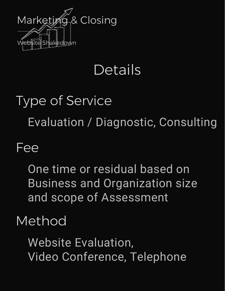

## Details

# Type of Service Evaluation / Diagnostic, Consulting

#### Fee

One time or residual based on Business and Organization size and scope of Assessment

#### Method

Website Evaluation, Video Conference, Telephone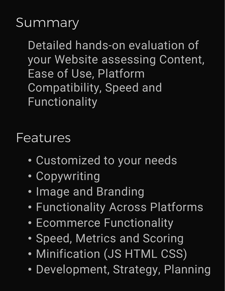### **Summary**

Detailed hands-on evaluation of your Website assessing Content, Ease of Use, Platform Compatibility, Speed and Functionality

#### Features

- Customized to your needs
- Copywriting
- Image and Branding
- Functionality Across Platforms
- Ecommerce Functionality
- Speed, Metrics and Scoring
- Minification (JS HTML CSS)
- Development, Strategy, Planning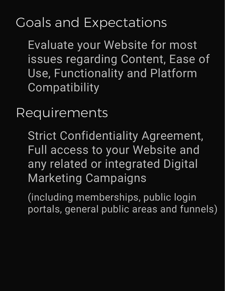## Goals and Expectations

Evaluate your Website for most issues regarding Content, Ease of Use, Functionality and Platform **Compatibility** 

Requirements

Strict Confidentiality Agreement, Full access to your Website and any related or integrated Digital Marketing Campaigns

(including memberships, public login portals, general public areas and funnels)